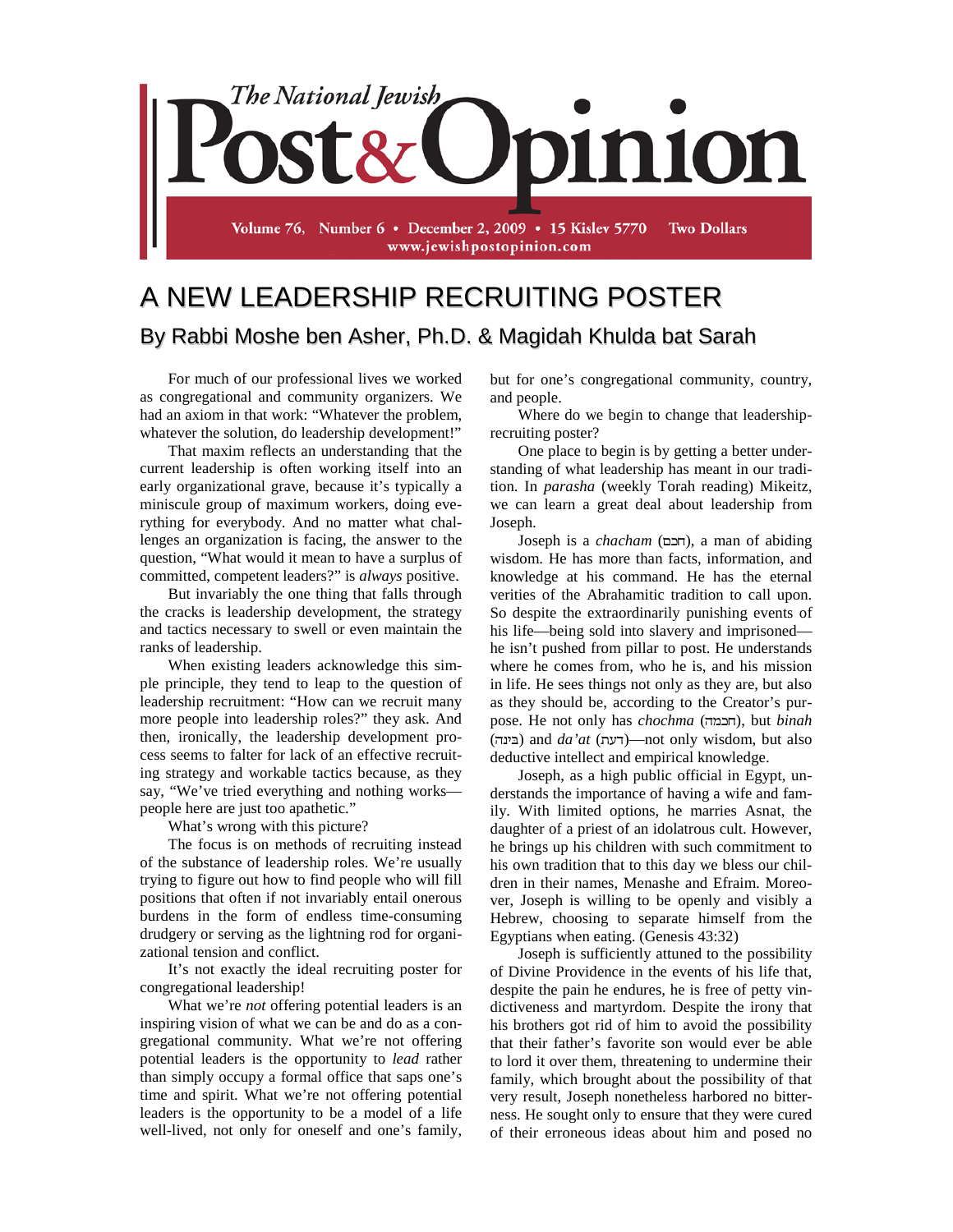

## A NEW LEADERSHIP RECRUITING POSTER By Rabbi Moshe ben Asher, Ph.D. & Magidah Khulda bat Sarah

For much of our professional lives we worked as congregational and community organizers. We had an axiom in that work: "Whatever the problem, whatever the solution, do leadership development!"

That maxim reflects an understanding that the current leadership is often working itself into an early organizational grave, because it's typically a miniscule group of maximum workers, doing everything for everybody. And no matter what challenges an organization is facing, the answer to the question, "What would it mean to have a surplus of committed, competent leaders?" is *always* positive.

But invariably the one thing that falls through the cracks is leadership development, the strategy and tactics necessary to swell or even maintain the ranks of leadership.

When existing leaders acknowledge this simple principle, they tend to leap to the question of leadership recruitment: "How can we recruit many more people into leadership roles?" they ask. And then, ironically, the leadership development process seems to falter for lack of an effective recruiting strategy and workable tactics because, as they say, "We've tried everything and nothing works people here are just too apathetic."

What's wrong with this picture?

The focus is on methods of recruiting instead of the substance of leadership roles. We're usually trying to figure out how to find people who will fill positions that often if not invariably entail onerous burdens in the form of endless time-consuming drudgery or serving as the lightning rod for organizational tension and conflict.

It's not exactly the ideal recruiting poster for congregational leadership!

What we're *not* offering potential leaders is an inspiring vision of what we can be and do as a congregational community. What we're not offering potential leaders is the opportunity to *lead* rather than simply occupy a formal office that saps one's time and spirit. What we're not offering potential leaders is the opportunity to be a model of a life well-lived, not only for oneself and one's family,

but for one's congregational community, country, and people.

Where do we begin to change that leadershiprecruiting poster?

One place to begin is by getting a better understanding of what leadership has meant in our tradition. In *parasha* (weekly Torah reading) Mikeitz, we can learn a great deal about leadership from Joseph.

Joseph is a *chacham* (), a man of abiding wisdom. He has more than facts, information, and knowledge at his command. He has the eternal verities of the Abrahamitic tradition to call upon. So despite the extraordinarily punishing events of his life—being sold into slavery and imprisoned he isn't pushed from pillar to post. He understands where he comes from, who he is, and his mission in life. He sees things not only as they are, but also as they should be, according to the Creator's purpose. He not only has *chochma* (הכמה), but *binah* (בינה) and *da'at* (דעת)—not only wisdom, but also deductive intellect and empirical knowledge.

Joseph, as a high public official in Egypt, understands the importance of having a wife and family. With limited options, he marries Asnat, the daughter of a priest of an idolatrous cult. However, he brings up his children with such commitment to his own tradition that to this day we bless our children in their names, Menashe and Efraim. Moreover, Joseph is willing to be openly and visibly a Hebrew, choosing to separate himself from the Egyptians when eating. (Genesis 43:32)

Joseph is sufficiently attuned to the possibility of Divine Providence in the events of his life that, despite the pain he endures, he is free of petty vindictiveness and martyrdom. Despite the irony that his brothers got rid of him to avoid the possibility that their father's favorite son would ever be able to lord it over them, threatening to undermine their family, which brought about the possibility of that very result, Joseph nonetheless harbored no bitterness. He sought only to ensure that they were cured of their erroneous ideas about him and posed no